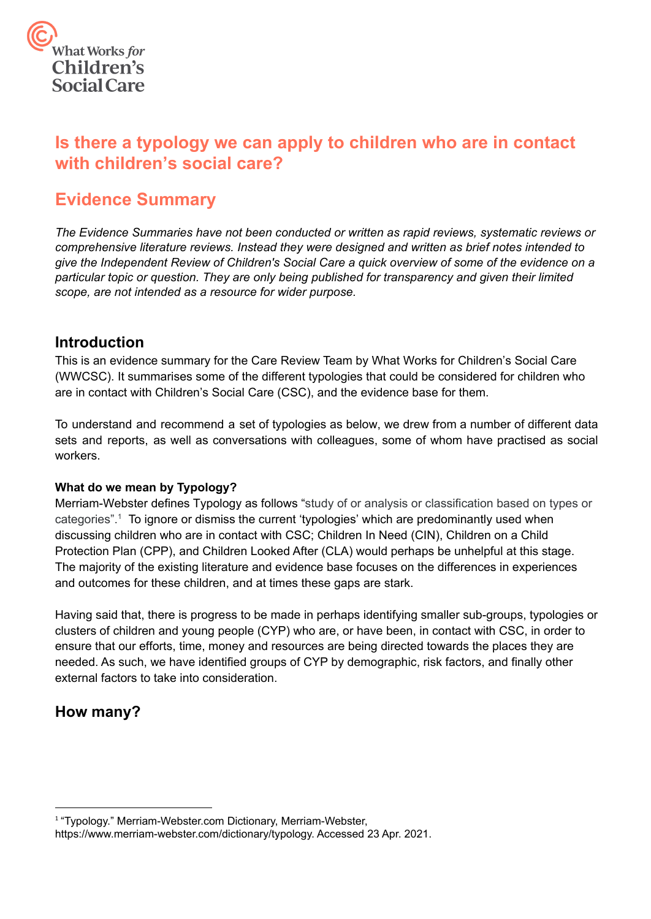

# **Is there a typology we can apply to children who are in contact with children's social care?**

# **Evidence Summary**

*The Evidence Summaries have not been conducted or written as rapid reviews, systematic reviews or comprehensive literature reviews. Instead they were designed and written as brief notes intended to give the Independent Review of Children's Social Care a quick overview of some of the evidence on a particular topic or question. They are only being published for transparency and given their limited scope, are not intended as a resource for wider purpose.*

# **Introduction**

This is an evidence summary for the Care Review Team by What Works for Children's Social Care (WWCSC). It summarises some of the different typologies that could be considered for children who are in contact with Children's Social Care (CSC), and the evidence base for them.

 To understand and recommend a set of typologies as below, we drew from a number of different data sets and reports, as well as conversations with colleagues, some of whom have practised as social workers.

### **What do we mean by Typology?**

Merriam-Webster defines Typology as follows "study of or analysis or classification based on types or categories".1 To ignore or dismiss the current 'typologies' which are predominantly used when discussing children who are in contact with CSC; Children In Need (CIN), Children on a Child Protection Plan (CPP), and Children Looked After (CLA) would perhaps be unhelpful at this stage. The majority of the existing literature and evidence base focuses on the differences in experiences and outcomes for these children, and at times these gaps are stark.

Having said that, there is progress to be made in perhaps identifying smaller sub-groups, typologies or clusters of children and young people (CYP) who are, or have been, in contact with CSC, in order to ensure that our efforts, time, money and resources are being directed towards the places they are needed. As such, we have identified groups of CYP by demographic, risk factors, and finally other external factors to take into consideration.

# **How many?**

<sup>1</sup> "Typology." [Merriam-Webster.com](https://Merriam-Webster.com) Dictionary, Merriam-Webster,

[https://www.merriam-webster.com/dictionary/typology.](https://www.merriam-webster.com/dictionary/typology) Accessed 23 Apr. 2021.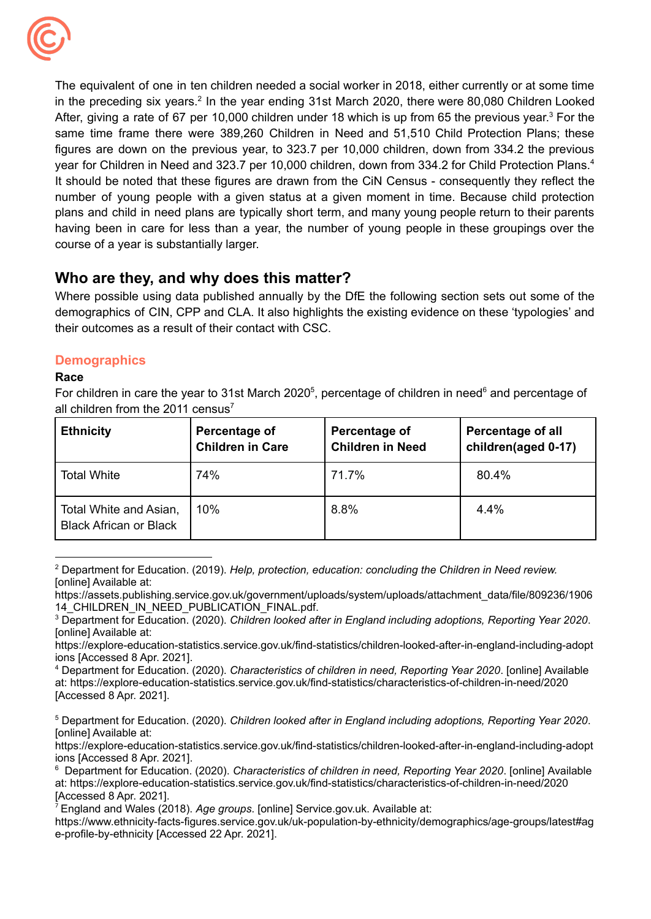

 course of a year is substantially larger. The equivalent of one in ten children needed a social worker in 2018, either currently or at some time in the preceding six years.<sup>2</sup> In the year ending 31st March 2020, there were 80,080 Children Looked After, giving a rate of 67 per 10,000 children under 18 which is up from 65 the previous year.<sup>3</sup> For the same time frame there were 389,260 Children in Need and 51,510 Child Protection Plans; these figures are down on the previous year, to 323.7 per 10,000 children, down from 334.2 the previous year for Children in Need and 323.7 per 10,000 children, down from 334.2 for Child Protection Plans.4 It should be noted that these figures are drawn from the CiN Census - consequently they reflect the number of young people with a given status at a given moment in time. Because child protection plans and child in need plans are typically short term, and many young people return to their parents having been in care for less than a year, the number of young people in these groupings over the

# **Who are they, and why does this matter?**

 their outcomes as a result of their contact with CSC. Where possible using data published annually by the DfE the following section sets out some of the demographics of CIN, CPP and CLA. It also highlights the existing evidence on these 'typologies' and

### **Demographics**

### **Race**

For children in care the year to 31st March 2020<sup>5</sup>, percentage of children in need<sup>6</sup> and percentage of all children from the 2011 census<sup>7</sup>

| <b>Ethnicity</b>                                        | Percentage of<br><b>Children in Care</b> | Percentage of<br><b>Children in Need</b> | <b>Percentage of all</b><br>children(aged 0-17) |
|---------------------------------------------------------|------------------------------------------|------------------------------------------|-------------------------------------------------|
| <b>Total White</b>                                      | 74%                                      | 71.7%                                    | 80.4%                                           |
| Total White and Asian,<br><b>Black African or Black</b> | 10%                                      | 8.8%                                     | 4.4%                                            |

 <sup>2</sup> Department for Education. (2019). *Help, protection, education: concluding the Children in Need review.* [online] Available at:

 <sup>4</sup> Department for Education. (2020). *Characteristics of children in need, Reporting Year 2020*. [online] Available [Accessed 8 Apr. 2021]. at: <https://explore-education-statistics.service.gov.uk/find-statistics/characteristics-of-children-in-need/2020>

<sup>7</sup> England and Wales (2018). *Age groups*. [online] Service.gov.uk. Available at:

[https://assets.publishing.service.gov.uk/government/uploads/system/uploads/attachment\\_data/file/809236/1906](https://assets.publishing.service.gov.uk/government/uploads/system/uploads/attachment_data/file/809236/1906) 14 CHILDREN\_IN\_NEED\_PUBLICATION\_FINAL.pdf.

 <sup>3</sup> Department for Education. (2020). *Children looked after in England including adoptions, Reporting Year 2020*. [online] Available at:

 ions [Accessed 8 Apr. 2021]. <https://explore-education-statistics.service.gov.uk/find-statistics/children-looked-after-in-england-including-adopt>

 <sup>5</sup> Department for Education. (2020). *Children looked after in England including adoptions, Reporting Year 2020*. [online] Available at:

 ions [Accessed 8 Apr. 2021]. <https://explore-education-statistics.service.gov.uk/find-statistics/children-looked-after-in-england-including-adopt>

 <sup>6</sup> Department for Education. (2020). *Characteristics of children in need, Reporting Year 2020*. [online] Available [Accessed 8 Apr. 2021]. at: <https://explore-education-statistics.service.gov.uk/find-statistics/characteristics-of-children-in-need/2020>

 e-profile-by-ethnicity [Accessed 22 Apr. 2021].<https://www.ethnicity-facts-figures.service.gov.uk/uk-population-by-ethnicity/demographics/age-groups/latest#ag>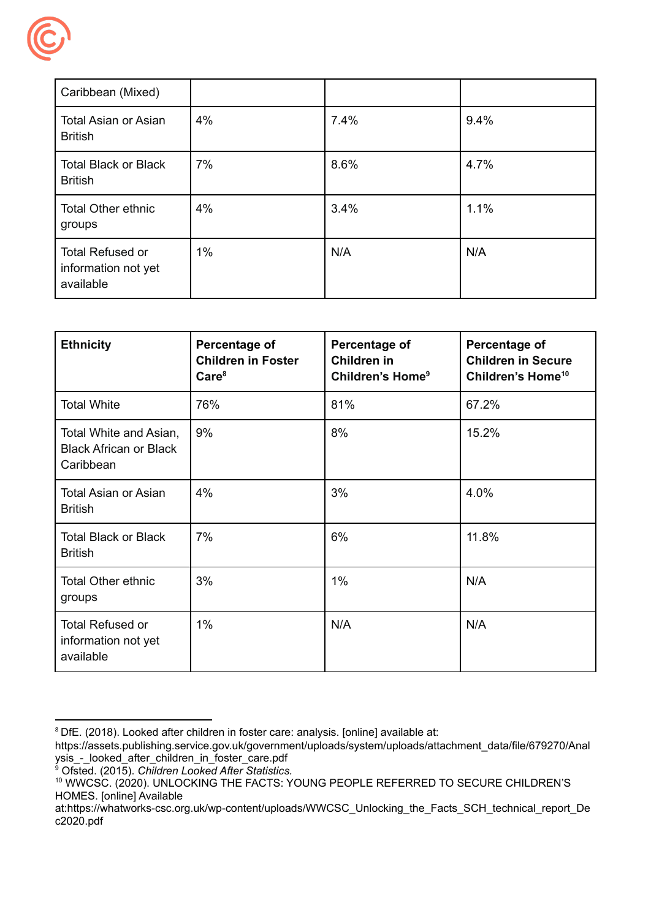

| Caribbean (Mixed)                                           |       |      |      |
|-------------------------------------------------------------|-------|------|------|
| <b>Total Asian or Asian</b><br><b>British</b>               | 4%    | 7.4% | 9.4% |
| <b>Total Black or Black</b><br><b>British</b>               | 7%    | 8.6% | 4.7% |
| <b>Total Other ethnic</b><br>groups                         | 4%    | 3.4% | 1.1% |
| <b>Total Refused or</b><br>information not yet<br>available | $1\%$ | N/A  | N/A  |

| <b>Ethnicity</b>                                                     | Percentage of<br><b>Children in Foster</b><br>Care <sup>8</sup> | Percentage of<br><b>Children in</b><br>Children's Home <sup>9</sup> | Percentage of<br><b>Children in Secure</b><br>Children's Home <sup>10</sup> |  |
|----------------------------------------------------------------------|-----------------------------------------------------------------|---------------------------------------------------------------------|-----------------------------------------------------------------------------|--|
| <b>Total White</b>                                                   | 76%                                                             | 81%                                                                 | 67.2%                                                                       |  |
| Total White and Asian,<br><b>Black African or Black</b><br>Caribbean | 9%                                                              | 8%                                                                  | 15.2%                                                                       |  |
| <b>Total Asian or Asian</b><br><b>British</b>                        | 4%                                                              | 3%                                                                  | 4.0%                                                                        |  |
| <b>Total Black or Black</b><br><b>British</b>                        | 7%                                                              |                                                                     | 11.8%                                                                       |  |
| <b>Total Other ethnic</b><br>groups                                  | 3%                                                              |                                                                     | N/A                                                                         |  |
| <b>Total Refused or</b><br>information not yet<br>available          | 1%                                                              | N/A                                                                 | N/A                                                                         |  |

<sup>&</sup>lt;sup>8</sup> DfE. (2018). Looked after children in foster care: analysis. [online] available at:

[https://assets.publishing.service.gov.uk/government/uploads/system/uploads/attachment\\_data/file/679270/Anal](https://assets.publishing.service.gov.uk/government/uploads/system/uploads/attachment_data/file/679270/Anal) ysis\_-\_looked\_after\_children\_in\_foster\_care.pdf

<sup>9</sup> Ofsted. (2015). *Children Looked After Statistics.*

 <sup>10</sup> WWCSC. (2020). UNLOCKING THE FACTS: YOUNG PEOPLE REFERRED TO SECURE CHILDREN'S HOMES. [online] Available

at:https://whatworks-csc.org.uk/wp-content/uploads/WWCSC\_Unlocking\_the\_Facts\_SCH\_technical\_report\_De c2020.pdf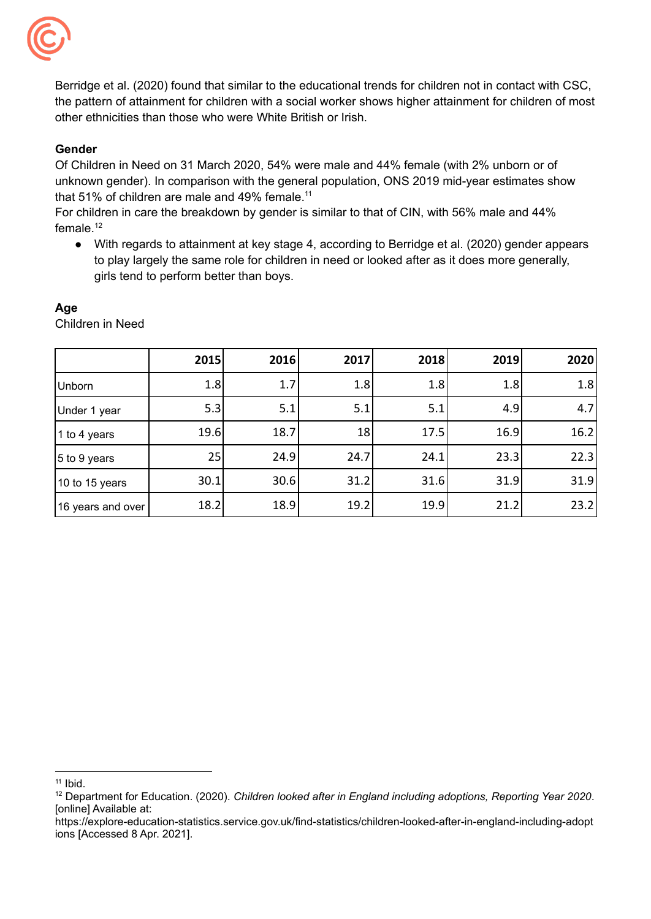

 Berridge et al. (2020) found that similar to the educational trends for children not in contact with CSC, the pattern of attainment for children with a social worker shows higher attainment for children of most other ethnicities than those who were White British or Irish.

### **Gender**

 Of Children in Need on 31 March 2020, 54% were male and 44% female (with 2% unborn or of unknown gender). In comparison with the general population, ONS 2019 mid-year estimates show that 51% of children are male and 49% female.<sup>11</sup>

 For children in care the breakdown by gender is similar to that of CIN, with 56% male and 44% [female.12](https://female.12)

 ● With regards to attainment at key stage 4, according to Berridge et al. (2020) gender appears to play largely the same role for children in need or looked after as it does more generally, girls tend to perform better than boys.

|                   | 2015 | 2016 | 2017 | 2018 | 2019 | 2020 |
|-------------------|------|------|------|------|------|------|
| <b>Unborn</b>     | 1.8  | 1.7  | 1.8  | 1.8  | 1.8  | 1.8  |
| Under 1 year      | 5.3  | 5.1  | 5.1  | 5.1  | 4.9  | 4.7  |
| 1 to 4 years      | 19.6 | 18.7 | 18   | 17.5 | 16.9 | 16.2 |
| 5 to 9 years      | 25   | 24.9 | 24.7 | 24.1 | 23.3 | 22.3 |
| 10 to 15 years    | 30.1 | 30.6 | 31.2 | 31.6 | 31.9 | 31.9 |
| 16 years and over | 18.2 | 18.9 | 19.2 | 19.9 | 21.2 | 23.2 |

### **Age**

Children in Need

 $11$  Ibid.

 <sup>12</sup> Department for Education. (2020). *Children looked after in England including adoptions, Reporting Year 2020*. [online] Available at:

 ions [Accessed 8 Apr. 2021].<https://explore-education-statistics.service.gov.uk/find-statistics/children-looked-after-in-england-including-adopt>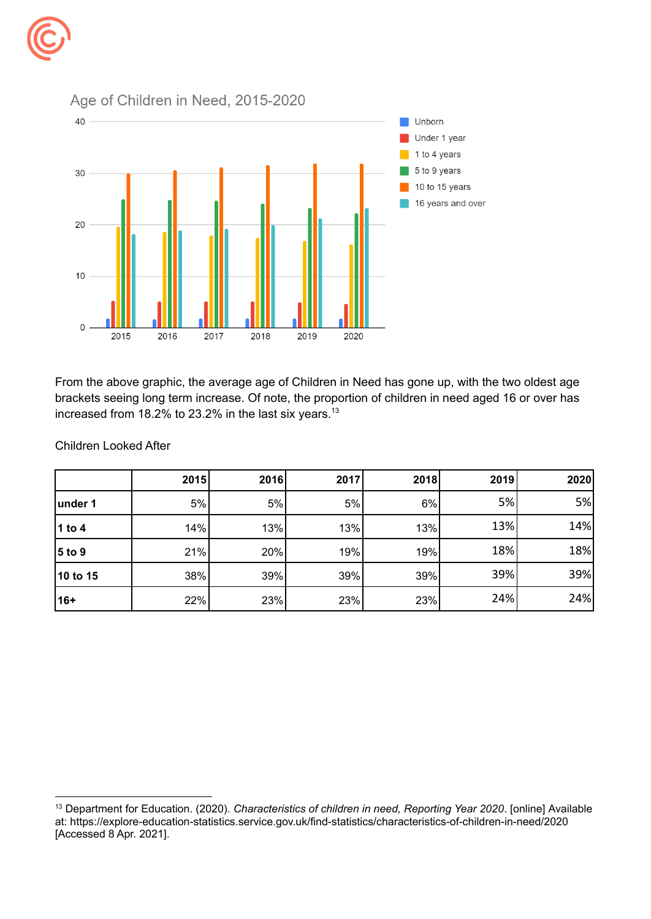# Age of Children in Need, 2015-2020 40 Unborn Under 1 year  $\blacksquare$  1 to 4 years 5 to 9 years 30  $\blacksquare$  10 to 15 years 16 years and over 20  $10$  $\mathbf 0$ 2015 2016 2018 2019 2020

2017

 From the above graphic, the average age of Children in Need has gone up, with the two oldest age brackets seeing long term increase. Of note, the proportion of children in need aged 16 or over has increased from 18.2% to 23.2% in the last six years.<sup>13</sup>

|          | 2015 | 2016 | 2017 | 2018 | 2019 | 2020 |
|----------|------|------|------|------|------|------|
| under 1  | 5%   | 5%   | 5%   | 6%   | 5%   | 5%   |
| $1$ to 4 | 14%  | 13%  | 13%  | 13%  | 13%  | 14%  |
| $5$ to 9 | 21%  | 20%  | 19%  | 19%  | 18%  | 18%  |
| 10 to 15 | 38%  | 39%  | 39%  | 39%  | 39%  | 39%  |
| 16+      | 22%  | 23%  | 23%  | 23%  | 24%  | 24%  |

Children Looked After

 <sup>13</sup> Department for Education. (2020). *Characteristics of children in need, Reporting Year 2020*. [online] Available [Accessed 8 Apr. 2021].at: <https://explore-education-statistics.service.gov.uk/find-statistics/characteristics-of-children-in-need/2020>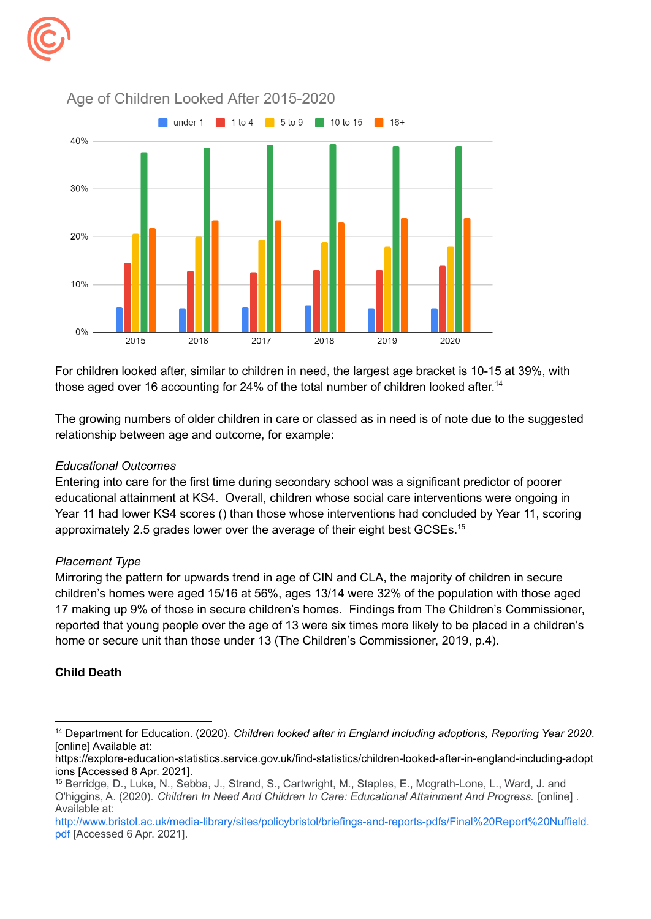



Age of Children Looked After 2015-2020

 For children looked after, similar to children in need, the largest age bracket is 10-15 at 39%, with those aged over 16 accounting for 24% of the total number of children looked after.<sup>14</sup>

 The growing numbers of older children in care or classed as in need is of note due to the suggested relationship between age and outcome, for example:

### *Educational Outcomes*

 Entering into care for the first time during secondary school was a significant predictor of poorer educational attainment at KS4. Overall, children whose social care interventions were ongoing in Year 11 had lower KS4 scores () than those whose interventions had concluded by Year 11, scoring approximately 2.5 grades lower over the average of their eight best GCSEs.<sup>15</sup>

#### *Placement Type*

 Mirroring the pattern for upwards trend in age of CIN and CLA, the majority of children in secure children's homes were aged 15/16 at 56%, ages 13/14 were 32% of the population with those aged 17 making up 9% of those in secure children's homes. Findings from The Children's Commissioner, reported that young people over the age of 13 were six times more likely to be placed in a children's home or secure unit than those under 13 (The Children's Commissioner, 2019, p.4).

### **Child Death**

 <sup>14</sup> Department for Education. (2020). *Children looked after in England including adoptions, Reporting Year 2020*. [online] Available at:

 ions [Accessed 8 Apr. 2021]. <https://explore-education-statistics.service.gov.uk/find-statistics/children-looked-after-in-england-including-adopt>

 <sup>15</sup> Berridge, D., Luke, N., Sebba, J., Strand, S., Cartwright, M., Staples, E., Mcgrath-Lone, L., Ward, J. and O'higgins, A. (2020). *Children In Need And Children In Care: Educational Attainment And Progress.* [online] . Available at:

 [pdf](http://www.bristol.ac.uk/media-library/sites/policybristol/briefings-and-reports-pdfs/Final%20Report%20Nuffield.pdf) [Accessed 6 Apr. 2021].[http://www.bristol.ac.uk/media-library/sites/policybristol/briefings-and-reports-pdfs/Final%20Report%20Nuffield.](http://www.bristol.ac.uk/media-library/sites/policybristol/briefings-and-reports-pdfs/Final%20Report%20Nuffield.pdf)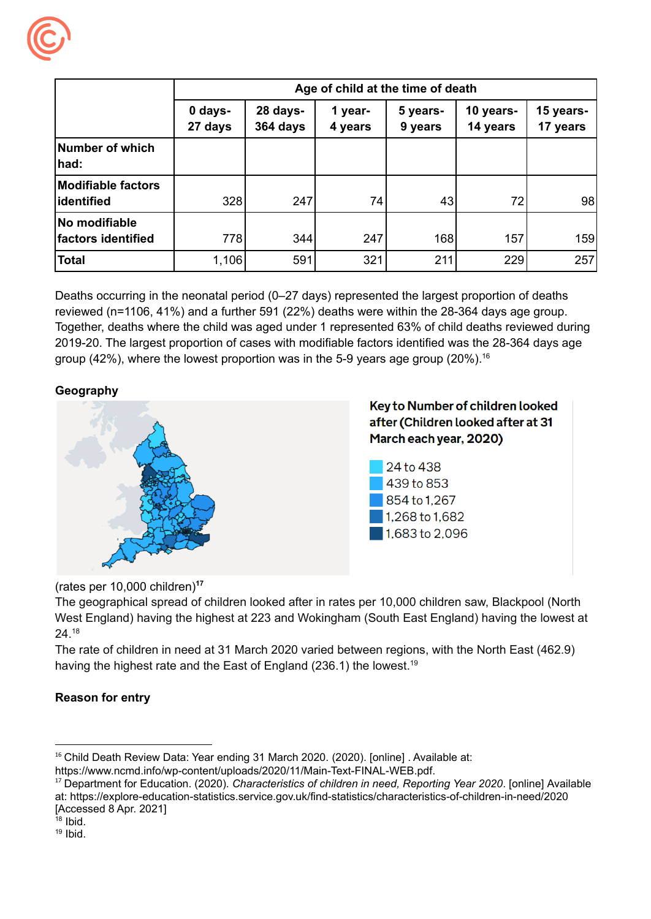

|                                          | Age of child at the time of death |                      |                    |                     |                       |                       |
|------------------------------------------|-----------------------------------|----------------------|--------------------|---------------------|-----------------------|-----------------------|
|                                          | 0 days-<br>27 days                | 28 days-<br>364 days | 1 year-<br>4 years | 5 years-<br>9 years | 10 years-<br>14 years | 15 years-<br>17 years |
| Number of which<br>had:                  |                                   |                      |                    |                     |                       |                       |
| <b>Modifiable factors</b><br> identified | 328                               | 247                  | 74                 | 43                  | 72                    | 98                    |
| No modifiable<br>factors identified      | 778                               | 344                  | 247                | 168                 | 157                   | 159                   |
| <b>Total</b>                             | 1,106                             | 591                  | 321                | 211                 | 229                   | 257                   |

 Deaths occurring in the neonatal period (0–27 days) represented the largest proportion of deaths reviewed (n=1106, 41%) and a further 591 (22%) deaths were within the 28-364 days age group. Together, deaths where the child was aged under 1 represented 63% of child deaths reviewed during 2019-20. The largest proportion of cases with modifiable factors identified was the 28-364 days age group (42%), where the lowest proportion was in the 5-9 years age group (20%).<sup>16</sup>

### **Geography**



(rates per 10,000 children)**<sup>17</sup>**

 The geographical spread of children looked after in rates per 10,000 children saw, Blackpool (North West England) having the highest at 223 and Wokingham (South East England) having the lowest at 24.18

 The rate of children in need at 31 March 2020 varied between regions, with the North East (462.9) having the highest rate and the East of England (236.1) the lowest.<sup>19</sup>

### **Reason for entry**

<sup>&</sup>lt;sup>16</sup> Child Death Review Data: Year ending 31 March 2020. (2020). [online] . Available at:

[https://www.ncmd.info/wp-content/uploads/2020/11/Main-Text-FINAL-WEB.pdf.](https://www.ncmd.info/wp-content/uploads/2020/11/Main-Text-FINAL-WEB.pdf)

 <sup>17</sup> Department for Education. (2020). *Characteristics of children in need, Reporting Year 2020*. [online] Available [Accessed 8 Apr. 2021] at: <https://explore-education-statistics.service.gov.uk/find-statistics/characteristics-of-children-in-need/2020>

 $18$  Ibid.

 $19$  Ibid.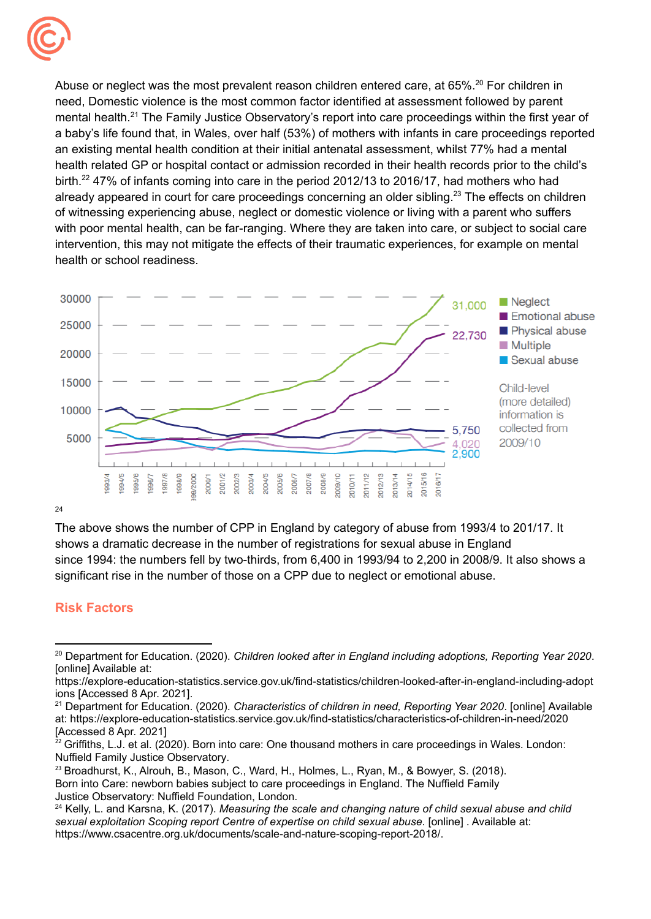

Abuse or neglect was the most prevalent reason children entered care, at 65%.<sup>20</sup> For children in need, Domestic violence is the most common factor identified at assessment followed by parent mental health.<sup>21</sup> The Family Justice Observatory's report into care proceedings within the first year of a baby's life found that, in Wales, over half (53%) of mothers with infants in care proceedings reported an existing mental health condition at their initial antenatal assessment, whilst 77% had a mental health related GP or hospital contact or admission recorded in their health records prior to the child's birth.<sup>22</sup> 47% of infants coming into care in the period 2012/13 to 2016/17, had mothers who had already appeared in court for care proceedings concerning an older sibling.<sup>23</sup> The effects on children of witnessing experiencing abuse, neglect or domestic violence or living with a parent who suffers with poor mental health, can be far-ranging. Where they are taken into care, or subject to social care intervention, this may not mitigate the effects of their traumatic experiences, for example on mental health or school readiness.



24

 The above shows the number of CPP in England by category of abuse from 1993/4 to 201/17. It shows a dramatic decrease in the number of registrations for sexual abuse in England since 1994: the numbers fell by two-thirds, from 6,400 in 1993/94 to 2,200 in 2008/9. It also shows a significant rise in the number of those on a CPP due to neglect or emotional abuse.

## **Risk Factors**

 $^{23}$  Broadhurst, K., Alrouh, B., Mason, C., Ward, H., Holmes, L., Ryan, M., & Bowyer, S. (2018). Born into Care: newborn babies subject to care proceedings in England. The Nuffield Family Justice Observatory: Nuffield Foundation, London.

 <sup>20</sup> Department for Education. (2020). *Children looked after in England including adoptions, Reporting Year 2020*. [online] Available at:

 ions [Accessed 8 Apr. 2021]. <https://explore-education-statistics.service.gov.uk/find-statistics/children-looked-after-in-england-including-adopt>

 <sup>21</sup> Department for Education. (2020). *Characteristics of children in need, Reporting Year 2020*. [online] Available [Accessed 8 Apr. 2021] at: <https://explore-education-statistics.service.gov.uk/find-statistics/characteristics-of-children-in-need/2020>

 $^{22}$  Griffiths, L.J. et al. (2020). Born into care: One thousand mothers in care proceedings in Wales. London: Nuffield Family Justice Observatory.

 <sup>24</sup> Kelly, L. and Karsna, K. (2017). *Measuring the scale and changing nature of child sexual abuse and child sexual exploitation Scoping report Centre of expertise on child sexual abuse*. [online] . Available at: <https://www.csacentre.org.uk/documents/scale-and-nature-scoping-report-2018>/.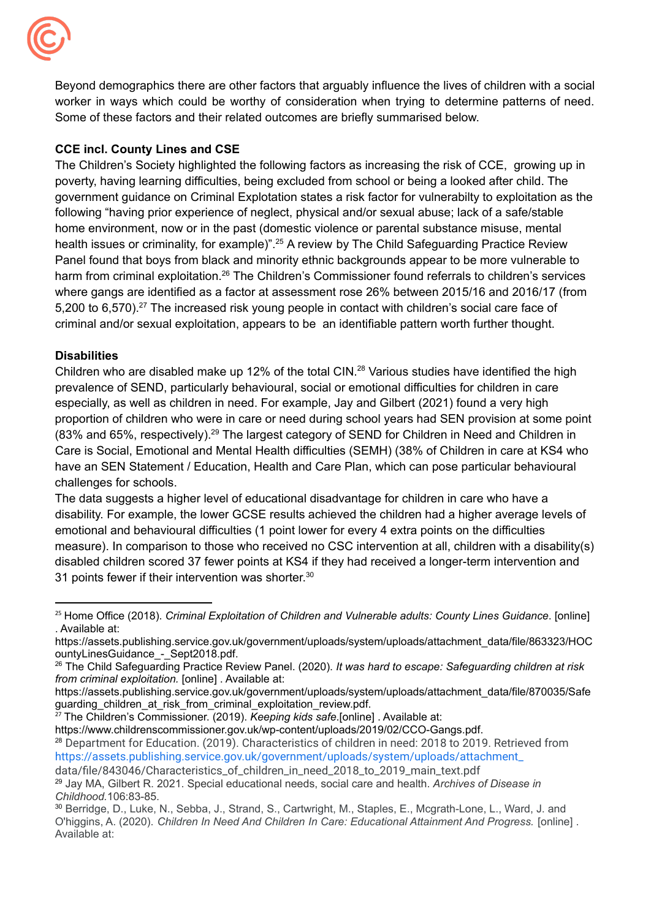

 Some of these factors and their related outcomes are briefly summarised below. Beyond demographics there are other factors that arguably influence the lives of children with a social worker in ways which could be worthy of consideration when trying to determine patterns of need.

### **CCE incl. County Lines and CSE**

 The Children's Society highlighted the following factors as increasing the risk of CCE, growing up in poverty, having learning difficulties, being excluded from school or being a looked after child. The government guidance on Criminal Explotation states a risk factor for vulnerabilty to exploitation as the following "having prior experience of neglect, physical and/or sexual abuse; lack of a safe/stable home environment, now or in the past (domestic violence or parental substance misuse, mental health issues or criminality, for example)".<sup>25</sup> A review by The Child Safeguarding Practice Review Panel found that boys from black and minority ethnic backgrounds appear to be more vulnerable to harm from criminal exploitation.<sup>26</sup> The Children's Commissioner found referrals to children's services where gangs are identified as a factor at assessment rose 26% between 2015/16 and 2016/17 (from 5,200 to 6,570).<sup>27</sup> The increased risk young people in contact with children's social care face of criminal and/or sexual exploitation, appears to be an identifiable pattern worth further thought.

### **Disabilities**

Children who are disabled make up 12% of the total CIN.<sup>28</sup> Various studies have identified the high prevalence of SEND, particularly behavioural, social or emotional difficulties for children in care especially, as well as children in need. For example, Jay and Gilbert (2021) found a very high proportion of children who were in care or need during school years had SEN provision at some point (83% and 65%, respectively).<sup>29</sup> The largest category of SEND for Children in Need and Children in Care is Social, Emotional and Mental Health difficulties (SEMH) (38% of Children in care at KS4 who have an SEN Statement / Education, Health and Care Plan, which can pose particular behavioural challenges for schools.

 The data suggests a higher level of educational disadvantage for children in care who have a disability. For example, the lower GCSE results achieved the children had a higher average levels of emotional and behavioural difficulties (1 point lower for every 4 extra points on the difficulties measure). In comparison to those who received no CSC intervention at all, children with a disability(s) disabled children scored 37 fewer points at KS4 if they had received a longer-term intervention and 31 points fewer if their intervention was shorter. $30$ 

 <sup>25</sup> Home Office (2018). *Criminal Exploitation of Children and Vulnerable adults: County Lines Guidance*. [online] . Available at:

[https://assets.publishing.service.gov.uk/government/uploads/system/uploads/attachment\\_data/file/863323/HOC](https://assets.publishing.service.gov.uk/government/uploads/system/uploads/attachment_data/file/863323/HOC) ountyLinesGuidance - Sept2018.pdf.

 <sup>26</sup> The Child Safeguarding Practice Review Panel. (2020). *It was hard to escape: Safeguarding children at risk from criminal exploitation.* [online] . Available at:

[https://assets.publishing.service.gov.uk/government/uploads/system/uploads/attachment\\_data/file/870035/Safe](https://assets.publishing.service.gov.uk/government/uploads/system/uploads/attachment_data/file/870035/Safe) guarding\_children\_at\_risk\_from\_criminal\_exploitation\_review.pdf.

 <sup>27</sup> The Children's Commissioner. (2019). *Keeping kids safe*.[online] . Available at:

[https://www.childrenscommissioner.gov.uk/wp-content/uploads/2019/02/CCO-Gangs.pdf.](https://www.childrenscommissioner.gov.uk/wp-content/uploads/2019/02/CCO-Gangs.pdf)

<sup>28</sup> Department for Education. (2019). Characteristics of children in need: 2018 to 2019. Retrieved from [https://assets.publishing.service.gov.uk/government/uploads/system/uploads/attachment\\_](https://assets.publishing.service.gov.uk/government/uploads/system/uploads/attachment_)

data/file/843046/Characteristics\_of\_children\_in\_need\_2018\_to\_2019\_main\_text.pdf

 <sup>29</sup> Jay MA, Gilbert R. 2021. Special educational needs, social care and health. *Archives of Disease in Childhood.*106:83-85.

<sup>&</sup>lt;sup>30</sup> Berridge, D., Luke, N., Sebba, J., Strand, S., Cartwright, M., Staples, E., Mcgrath-Lone, L., Ward, J. and O'higgins, A. (2020). *Children In Need And Children In Care: Educational Attainment And Progress.* [online] . Available at: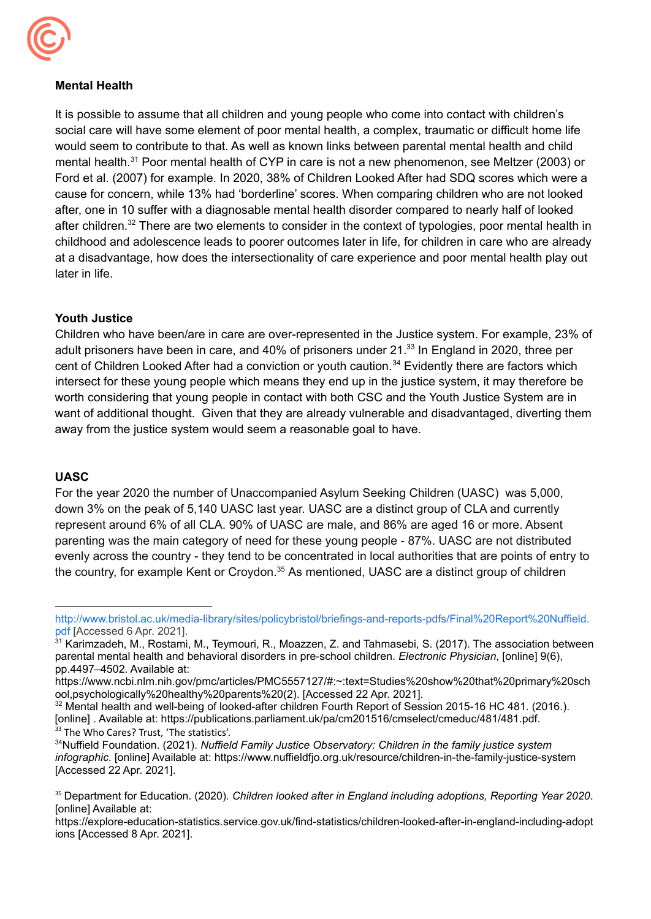

### **Mental Health**

 It is possible to assume that all children and young people who come into contact with children's social care will have some element of poor mental health, a complex, traumatic or difficult home life would seem to contribute to that. As well as known links between parental mental health and child mental health.<sup>31</sup> Poor mental health of CYP in care is not a new phenomenon, see Meltzer (2003) or Ford et al. (2007) for example. In 2020, 38% of Children Looked After had SDQ scores which were a cause for concern, while 13% had 'borderline' scores. When comparing children who are not looked after, one in 10 suffer with a diagnosable mental health disorder compared to nearly half of looked after children.<sup>32</sup> There are two elements to consider in the context of typologies, poor mental health in childhood and adolescence leads to poorer outcomes later in life, for children in care who are already at a disadvantage, how does the intersectionality of care experience and poor mental health play out later in life.

#### **Youth Justice**

 Children who have been/are in care are over-represented in the Justice system. For example, 23% of adult prisoners have been in care, and 40% of prisoners under 21.<sup>33</sup> In England in 2020, three per cent of Children Looked After had a conviction or youth caution.<sup>34</sup> Evidently there are factors which intersect for these young people which means they end up in the justice system, it may therefore be worth considering that young people in contact with both CSC and the Youth Justice System are in want of additional thought. Given that they are already vulnerable and disadvantaged, diverting them away from the justice system would seem a reasonable goal to have.

#### **UASC**

 For the year 2020 the number of Unaccompanied Asylum Seeking Children (UASC) was 5,000, down 3% on the peak of 5,140 UASC last year. UASC are a distinct group of CLA and currently represent around 6% of all CLA. 90% of UASC are male, and 86% are aged 16 or more. Absent parenting was the main category of need for these young people - 87%. UASC are not distributed evenly across the country - they tend to be concentrated in local authorities that are points of entry to the country, for example Kent or Croydon.<sup>35</sup> As mentioned, UASC are a distinct group of children

 [pdf](http://www.bristol.ac.uk/media-library/sites/policybristol/briefings-and-reports-pdfs/Final%20Report%20Nuffield.pdf) [Accessed 6 Apr. 2021]. [http://www.bristol.ac.uk/media-library/sites/policybristol/briefings-and-reports-pdfs/Final%20Report%20Nuffield.](http://www.bristol.ac.uk/media-library/sites/policybristol/briefings-and-reports-pdfs/Final%20Report%20Nuffield.pdf)

<sup>&</sup>lt;sup>31</sup> Karimzadeh, M., Rostami, M., Teymouri, R., Moazzen, Z. and Tahmasebi, S. (2017). The association between parental mental health and behavioral disorders in pre-school children. *Electronic Physician*, [online] 9(6), pp.4497–4502. Available at:

 ool,psychologically%20healthy%20parents%20(2). [Accessed 22 Apr. 2021]. <https://www.ncbi.nlm.nih.gov/pmc/articles/PMC5557127/#:~:text=Studies%20show%20that%20primary%20sch>

<sup>&</sup>lt;sup>33</sup> The Who Cares? Trust, 'The statistics'.  $32$  Mental health and well-being of looked-after children Fourth Report of Session 2015-16 HC 481. (2016.). [online] . Available at: [https://publications.parliament.uk/pa/cm201516/cmselect/cmeduc/481/481.pdf.](https://publications.parliament.uk/pa/cm201516/cmselect/cmeduc/481/481.pdf)

 34Nuffield Foundation. (2021). *Nuffield Family Justice Observatory: Children in the family justice system infographic*. [online] Available at: <https://www.nuffieldfjo.org.uk/resource/children-in-the-family-justice-system> [Accessed 22 Apr. 2021].

 <sup>35</sup> Department for Education. (2020). *Children looked after in England including adoptions, Reporting Year 2020*. [online] Available at:

 ions [Accessed 8 Apr. 2021].<https://explore-education-statistics.service.gov.uk/find-statistics/children-looked-after-in-england-including-adopt>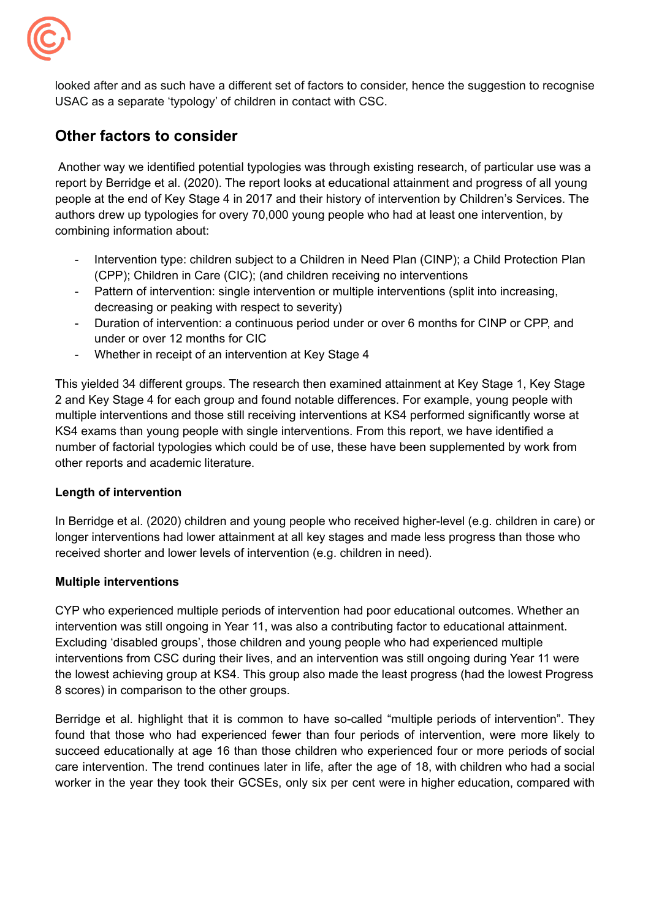

 looked after and as such have a different set of factors to consider, hence the suggestion to recognise USAC as a separate 'typology' of children in contact with CSC.

# **Other factors to consider**

 Another way we identified potential typologies was through existing research, of particular use was a report by Berridge et al. (2020). The report looks at educational attainment and progress of all young people at the end of Key Stage 4 in 2017 and their history of intervention by Children's Services. The authors drew up typologies for overy 70,000 young people who had at least one intervention, by combining information about:

- - Intervention type: children subject to a Children in Need Plan (CINP); a Child Protection Plan (CPP); Children in Care (CIC); (and children receiving no interventions
- - Pattern of intervention: single intervention or multiple interventions (split into increasing, decreasing or peaking with respect to severity)
- - Duration of intervention: a continuous period under or over 6 months for CINP or CPP, and under or over 12 months for CIC
- Whether in receipt of an intervention at Key Stage 4

 This yielded 34 different groups. The research then examined attainment at Key Stage 1, Key Stage 2 and Key Stage 4 for each group and found notable differences. For example, young people with multiple interventions and those still receiving interventions at KS4 performed significantly worse at KS4 exams than young people with single interventions. From this report, we have identified a number of factorial typologies which could be of use, these have been supplemented by work from other reports and academic literature.

### **Length of intervention**

 In Berridge et al. (2020) children and young people who received higher-level (e.g. children in care) or longer interventions had lower attainment at all key stages and made less progress than those who received shorter and lower levels of intervention (e.g. children in need).

### **Multiple interventions**

 CYP who experienced multiple periods of intervention had poor educational outcomes. Whether an intervention was still ongoing in Year 11, was also a contributing factor to educational attainment. Excluding 'disabled groups', those children and young people who had experienced multiple interventions from CSC during their lives, and an intervention was still ongoing during Year 11 were the lowest achieving group at KS4. This group also made the least progress (had the lowest Progress 8 scores) in comparison to the other groups.

Berridge et al. highlight that it is common to have so-called "multiple periods of intervention". They found that those who had experienced fewer than four periods of intervention, were more likely to succeed educationally at age 16 than those children who experienced four or more periods of social care intervention. The trend continues later in life, after the age of 18, with children who had a social worker in the year they took their GCSEs, only six per cent were in higher education, compared with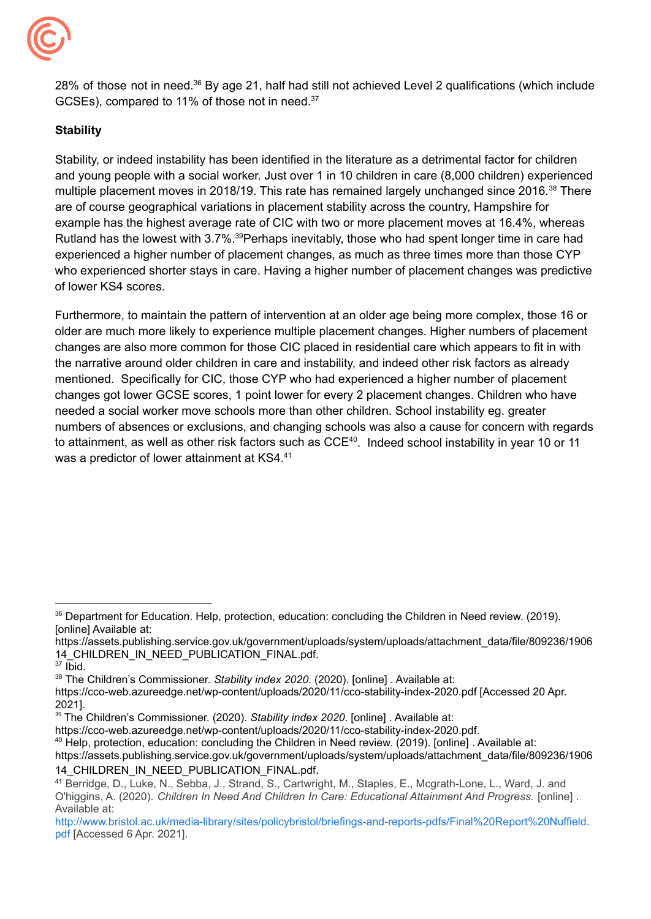

GCSEs), compared to 11% of those not in need. $37$ 28% of those not in need.<sup>36</sup> By age 21, half had still not achieved Level 2 qualifications (which include

### **Stability**

 Stability, or indeed instability has been identified in the literature as a detrimental factor for children and young people with a social worker. Just over 1 in 10 children in care (8,000 children) experienced multiple placement moves in 2018/19. This rate has remained largely unchanged since 2016.<sup>38</sup> There are of course geographical variations in placement stability across the country, Hampshire for example has the highest average rate of CIC with two or more placement moves at 16.4%, whereas Rutland has the lowest with 3.7%.<sup>39</sup>Perhaps inevitably, those who had spent longer time in care had experienced a higher number of placement changes, as much as three times more than those CYP who experienced shorter stays in care. Having a higher number of placement changes was predictive of lower KS4 scores.

 Furthermore, to maintain the pattern of intervention at an older age being more complex, those 16 or older are much more likely to experience multiple placement changes. Higher numbers of placement changes are also more common for those CIC placed in residential care which appears to fit in with the narrative around older children in care and instability, and indeed other risk factors as already mentioned. Specifically for CIC, those CYP who had experienced a higher number of placement changes got lower GCSE scores, 1 point lower for every 2 placement changes. Children who have needed a social worker move schools more than other children. School instability eg. greater numbers of absences or exclusions, and changing schools was also a cause for concern with regards to attainment, as well as other risk factors such as  $CCE^{40}$ . Indeed school instability in year 10 or 11 was a predictor of lower attainment at KS4.<sup>41</sup>

 $36$  Department for Education. Help, protection, education: concluding the Children in Need review. (2019). [online] Available at:

[https://assets.publishing.service.gov.uk/government/uploads/system/uploads/attachment\\_data/file/809236/1906](https://assets.publishing.service.gov.uk/government/uploads/system/uploads/attachment_data/file/809236/1906) 14 CHILDREN\_IN\_NEED\_PUBLICATION\_FINAL.pdf.

 $37$  lbid.

 <sup>38</sup> The Children's Commissioner. *Stability index 2020*. (2020). [online] . Available at:

 <https://cco-web.azureedge.net/wp-content/uploads/2020/11/cco-stability-index-2020.pdf> [Accessed 20 Apr. 2021].

 <sup>39</sup> The Children's Commissioner. (2020). *Stability index 2020*. [online] . Available at:

<https://cco-web.azureedge.net/wp-content/uploads/2020/11/cco-stability-index-2020.pdf>.

<sup>&</sup>lt;sup>40</sup> Help, protection, education: concluding the Children in Need review. (2019). [online] . Available at:

[https://assets.publishing.service.gov.uk/government/uploads/system/uploads/attachment\\_data/file/809236/1906](https://assets.publishing.service.gov.uk/government/uploads/system/uploads/attachment_data/file/809236/1906) 14 CHILDREN\_IN\_NEED\_PUBLICATION\_FINAL.pdf.

<sup>&</sup>lt;sup>41</sup> Berridge, D., Luke, N., Sebba, J., Strand, S., Cartwright, M., Staples, E., Mcgrath-Lone, L., Ward, J. and O'higgins, A. (2020). *Children In Need And Children In Care: Educational Attainment And Progress.* [online] . Available at:

 [pdf](http://www.bristol.ac.uk/media-library/sites/policybristol/briefings-and-reports-pdfs/Final%20Report%20Nuffield.pdf) [Accessed 6 Apr. 2021].[http://www.bristol.ac.uk/media-library/sites/policybristol/briefings-and-reports-pdfs/Final%20Report%20Nuffield.](http://www.bristol.ac.uk/media-library/sites/policybristol/briefings-and-reports-pdfs/Final%20Report%20Nuffield.pdf)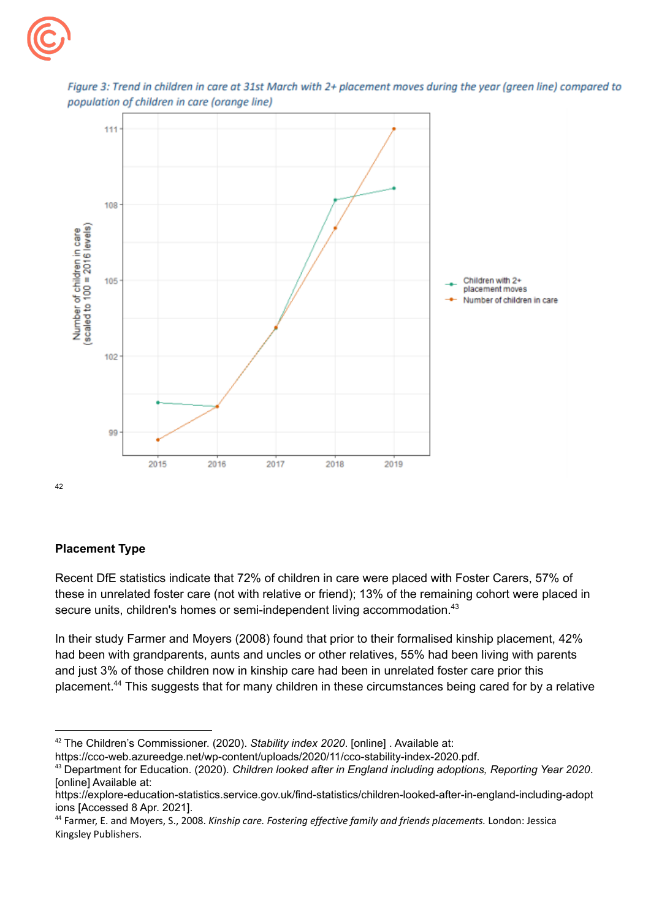



Figure 3: Trend in children in care at 31st March with 2+ placement moves during the year (green line) compared to population of children in care (orange line)

**Placement Type**

42

 Recent DfE statistics indicate that 72% of children in care were placed with Foster Carers, 57% of these in unrelated foster care (not with relative or friend); 13% of the remaining cohort were placed in secure units, children's homes or semi-independent living accommodation.<sup>43</sup>

 In their study Farmer and Moyers (2008) found that prior to their formalised kinship placement, 42% had been with grandparents, aunts and uncles or other relatives, 55% had been living with parents and just 3% of those children now in kinship care had been in unrelated foster care prior this placement.<sup>44</sup> This suggests that for many children in these circumstances being cared for by a relative

 <sup>42</sup> The Children's Commissioner. (2020). *Stability index 2020*. [online] . Available at: <https://cco-web.azureedge.net/wp-content/uploads/2020/11/cco-stability-index-2020.pdf>.

 <sup>43</sup> Department for Education. (2020). *Children looked after in England including adoptions, Reporting Year 2020*. [online] Available at:

 ions [Accessed 8 Apr. 2021]. <https://explore-education-statistics.service.gov.uk/find-statistics/children-looked-after-in-england-including-adopt>

 <sup>44</sup> Farmer, E. and Moyers, S., 2008. *Kinship care. Fostering effective family and friends placements.* London: Jessica Kingsley Publishers.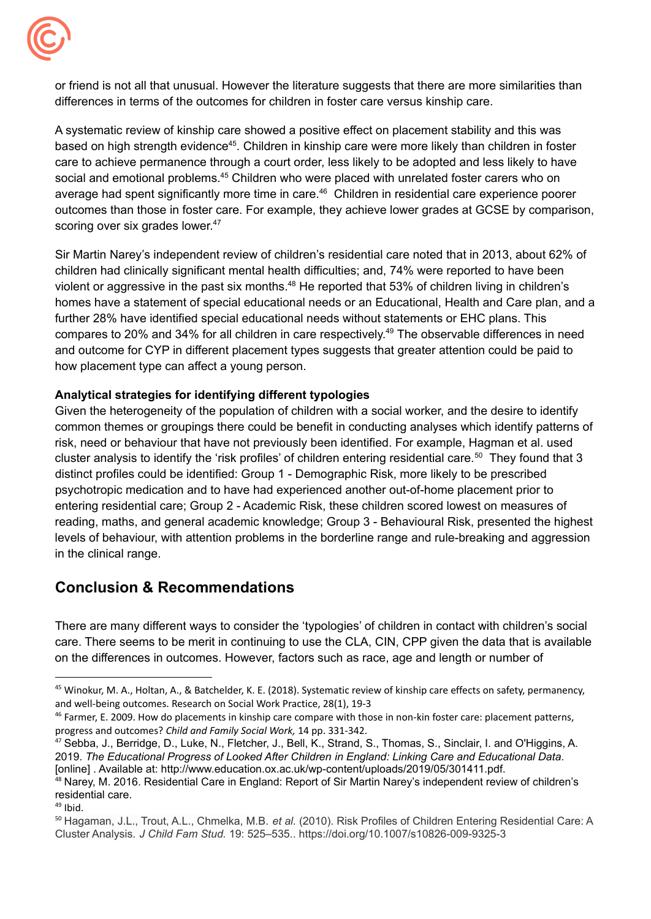

 or friend is not all that unusual. However the literature suggests that there are more similarities than differences in terms of the outcomes for children in foster care versus kinship care.

 A systematic review of kinship care showed a positive effect on placement stability and this was based on high strength evidence<sup>45</sup>. Children in kinship care were more likely than children in foster care to achieve permanence through a court order, less likely to be adopted and less likely to have social and emotional problems.<sup>45</sup> Children who were placed with unrelated foster carers who on average had spent significantly more time in care.<sup>46</sup> Children in residential care experience poorer outcomes than those in foster care. For example, they achieve lower grades at GCSE by comparison, scoring over six grades lower.<sup>47</sup>

 Sir Martin Narey's independent review of children's residential care noted that in 2013, about 62% of children had clinically significant mental health difficulties; and, 74% were reported to have been violent or aggressive in the past six months.<sup>48</sup> He reported that 53% of children living in children's homes have a statement of special educational needs or an Educational, Health and Care plan, and a further 28% have identified special educational needs without statements or EHC plans. This compares to 20% and 34% for all children in care respectively.<sup>49</sup> The observable differences in need and outcome for CYP in different placement types suggests that greater attention could be paid to how placement type can affect a young person.

### **Analytical strategies for identifying different typologies**

 Given the heterogeneity of the population of children with a social worker, and the desire to identify common themes or groupings there could be benefit in conducting analyses which identify patterns of risk, need or behaviour that have not previously been identified. For example, Hagman et al. used cluster analysis to identify the 'risk profiles' of children entering residential care.<sup>50</sup> They found that 3 distinct profiles could be identified: Group 1 - Demographic Risk, more likely to be prescribed psychotropic medication and to have had experienced another out-of-home placement prior to entering residential care; Group 2 - Academic Risk, these children scored lowest on measures of reading, maths, and general academic knowledge; Group 3 - Behavioural Risk, presented the highest levels of behaviour, with attention problems in the borderline range and rule-breaking and aggression in the clinical range.

# **Conclusion & Recommendations**

 There are many different ways to consider the 'typologies' of children in contact with children's social care. There seems to be merit in continuing to use the CLA, CIN, CPP given the data that is available on the differences in outcomes. However, factors such as race, age and length or number of

<sup>&</sup>lt;sup>45</sup> Winokur, M. A., Holtan, A., & Batchelder, K. E. (2018). Systematic review of kinship care effects on safety, permanency, and well-being outcomes. Research on Social Work Practice, 28(1), 19-3

<sup>&</sup>lt;sup>46</sup> Farmer, E. 2009. How do placements in kinship care compare with those in non-kin foster care: placement patterns, progress and outcomes? *Child and Family Social Work,* 14 pp. 331-342.

 $^{47}$  Sebba, J., Berridge, D., Luke, N., Fletcher, J., Bell, K., Strand, S., Thomas, S., Sinclair, I. and O'Higgins, A.  2019. *The Educational Progress of Looked After Children in England: Linking Care and Educational Data*. [online] . Available at: <http://www.education.ox.ac.uk/wp-content/uploads/2019/05/301411.pdf>.

<sup>&</sup>lt;sup>48</sup> Narey, M. 2016. Residential Care in England: Report of Sir Martin Narey's independent review of children's residential care.

<sup>49</sup> Ibid.

 <sup>50</sup> Hagaman, J.L., Trout, A.L., Chmelka, M.B. *et al.* (2010). Risk Profiles of Children Entering Residential Care: A  Cluster Analysis. *J Child Fam Stud.* 19: 525–535.. <https://doi.org/10.1007/s10826-009-9325-3>